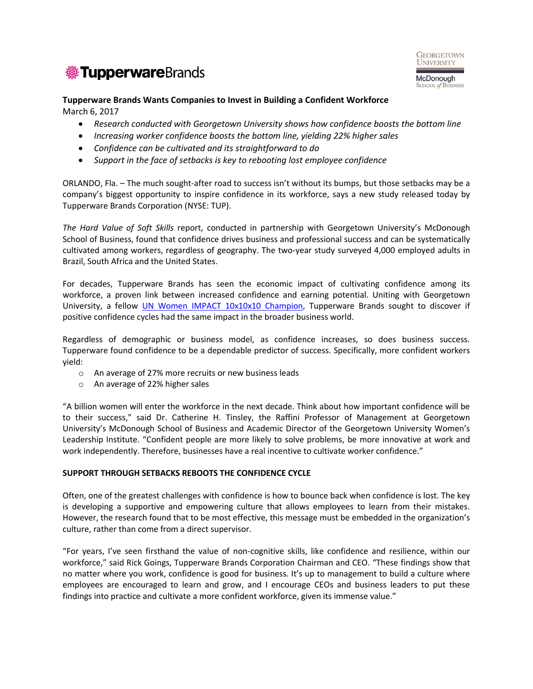



## **Tupperware Brands Wants Companies to Invest in Building a Confident Workforce** March 6, 2017

- *Research conducted with Georgetown University shows how confidence boosts the bottom line*
- *Increasing worker confidence boosts the bottom line, yielding 22% higher sales*
- *Confidence can be cultivated and its straightforward to do*
- *Support in the face of setbacks is key to rebooting lost employee confidence*

ORLANDO, Fla. – The much sought-after road to success isn't without its bumps, but those setbacks may be a company's biggest opportunity to inspire confidence in its workforce, says a new study released today by Tupperware Brands Corporation (NYSE: TUP).

*The Hard Value of Soft Skills* report, conducted in partnership with Georgetown University's McDonough School of Business, found that confidence drives business and professional success and can be systematically cultivated among workers, regardless of geography. The two-year study surveyed 4,000 employed adults in Brazil, South Africa and the United States.

For decades, Tupperware Brands has seen the economic impact of cultivating confidence among its workforce, a proven link between increased confidence and earning potential. Uniting with Georgetown University, a fellow *[UN Women IMPACT](http://www.heforshe.org/en/impact) 10x10x10 Champion*, Tupperware Brands sought to discover if positive confidence cycles had the same impact in the broader business world.

Regardless of demographic or business model, as confidence increases, so does business success. Tupperware found confidence to be a dependable predictor of success. Specifically, more confident workers yield:

- o An average of 27% more recruits or new business leads
- o An average of 22% higher sales

"A billion women will enter the workforce in the next decade. Think about how important confidence will be to their success," said Dr. Catherine H. Tinsley, the Raffini Professor of Management at Georgetown University's McDonough School of Business and Academic Director of the Georgetown University Women's Leadership Institute. "Confident people are more likely to solve problems, be more innovative at work and work independently. Therefore, businesses have a real incentive to cultivate worker confidence."

## **SUPPORT THROUGH SETBACKS REBOOTS THE CONFIDENCE CYCLE**

Often, one of the greatest challenges with confidence is how to bounce back when confidence is lost. The key is developing a supportive and empowering culture that allows employees to learn from their mistakes. However, the research found that to be most effective, this message must be embedded in the organization's culture, rather than come from a direct supervisor.

"For years, I've seen firsthand the value of non-cognitive skills, like confidence and resilience, within our workforce," said Rick Goings, Tupperware Brands Corporation Chairman and CEO. "These findings show that no matter where you work, confidence is good for business. It's up to management to build a culture where employees are encouraged to learn and grow, and I encourage CEOs and business leaders to put these findings into practice and cultivate a more confident workforce, given its immense value."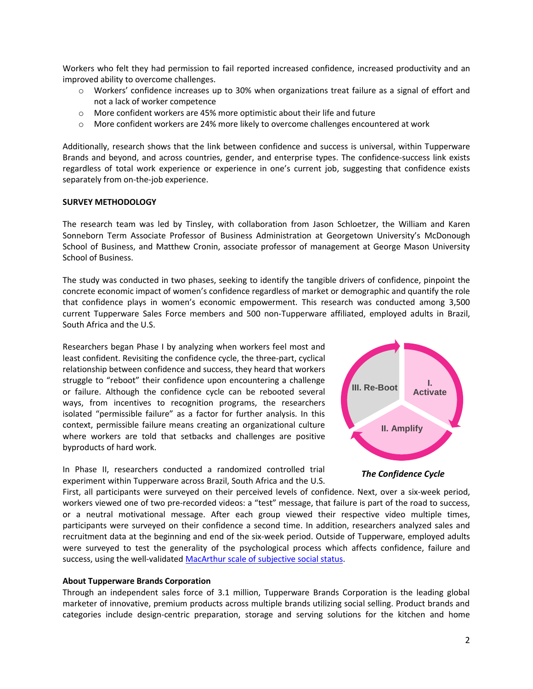Workers who felt they had permission to fail reported increased confidence, increased productivity and an improved ability to overcome challenges.

- o Workers' confidence increases up to 30% when organizations treat failure as a signal of effort and not a lack of worker competence
- o More confident workers are 45% more optimistic about their life and future
- o More confident workers are 24% more likely to overcome challenges encountered at work

Additionally, research shows that the link between confidence and success is universal, within Tupperware Brands and beyond, and across countries, gender, and enterprise types. The confidence-success link exists regardless of total work experience or experience in one's current job, suggesting that confidence exists separately from on-the-job experience.

## **SURVEY METHODOLOGY**

The research team was led by Tinsley, with collaboration from Jason Schloetzer, the William and Karen Sonneborn Term Associate Professor of Business Administration at Georgetown University's McDonough School of Business, and Matthew Cronin, associate professor of management at George Mason University School of Business.

The study was conducted in two phases, seeking to identify the tangible drivers of confidence, pinpoint the concrete economic impact of women's confidence regardless of market or demographic and quantify the role that confidence plays in women's economic empowerment. This research was conducted among 3,500 current Tupperware Sales Force members and 500 non-Tupperware affiliated, employed adults in Brazil, South Africa and the U.S.

Researchers began Phase I by analyzing when workers feel most and least confident. Revisiting the confidence cycle, the three-part, cyclical relationship between confidence and success, they heard that workers struggle to "reboot" their confidence upon encountering a challenge or failure. Although the confidence cycle can be rebooted several ways, from incentives to recognition programs, the researchers isolated "permissible failure" as a factor for further analysis. In this context, permissible failure means creating an organizational culture where workers are told that setbacks and challenges are positive byproducts of hard work.

In Phase II, researchers conducted a randomized controlled trial experiment within Tupperware across Brazil, South Africa and the U.S.



*The Confidence Cycle*

First, all participants were surveyed on their perceived levels of confidence. Next, over a six-week period, workers viewed one of two pre-recorded videos: a "test" message, that failure is part of the road to success, or a neutral motivational message. After each group viewed their respective video multiple times, participants were surveyed on their confidence a second time. In addition, researchers analyzed sales and recruitment data at the beginning and end of the six-week period. Outside of Tupperware, employed adults were surveyed to test the generality of the psychological process which affects confidence, failure and success, using the well-validated [MacArthur scale of subjective social status.](http://www.macses.ucsf.edu/research/psychosocial/subjective.php)

#### **About Tupperware Brands Corporation**

Through an independent sales force of 3.1 million, Tupperware Brands Corporation is the leading global marketer of innovative, premium products across multiple brands utilizing social selling. Product brands and categories include design-centric preparation, storage and serving solutions for the kitchen and home